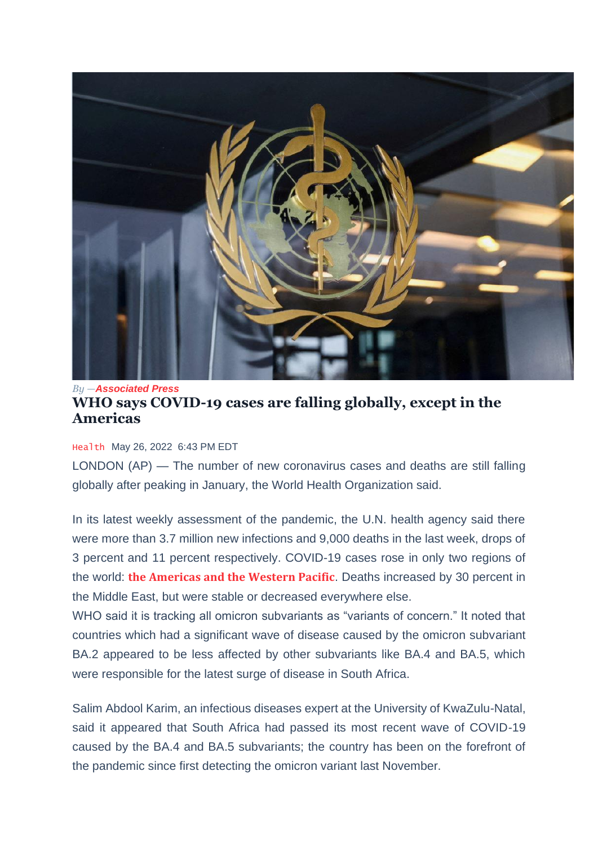

## *By —[Associated](https://www.pbs.org/newshour/author/associated-press) Press* **WHO says COVID-19 cases are falling globally, except in the Americas**

## [Health](https://www.pbs.org/newshour/health) May 26, 2022 6:43 PM EDT

LONDON (AP) — The number of new coronavirus cases and deaths are still falling globally after peaking in January, the World Health Organization said.

In its latest weekly assessment of the pandemic, the U.N. health agency said there were more than 3.7 million new infections and 9,000 deaths in the last week, drops of 3 percent and 11 percent respectively. COVID-19 cases rose in only two regions of the world: **the [Americas](https://www.pbs.org/newshour/show/rise-in-new-covid-19-infections-raises-questions-about-u-s-approach-to-the-pandemic) and the Western Pacific**. Deaths increased by 30 percent in the Middle East, but were stable or decreased everywhere else.

WHO said it is tracking all omicron subvariants as "variants of concern." It noted that countries which had a significant wave of disease caused by the omicron subvariant BA.2 appeared to be less affected by other subvariants like BA.4 and BA.5, which were responsible for the latest surge of disease in South Africa.

Salim Abdool Karim, an infectious diseases expert at the University of KwaZulu-Natal, said it appeared that South Africa had passed its most recent wave of COVID-19 caused by the BA.4 and BA.5 subvariants; the country has been on the forefront of the pandemic since first detecting the omicron variant last November.